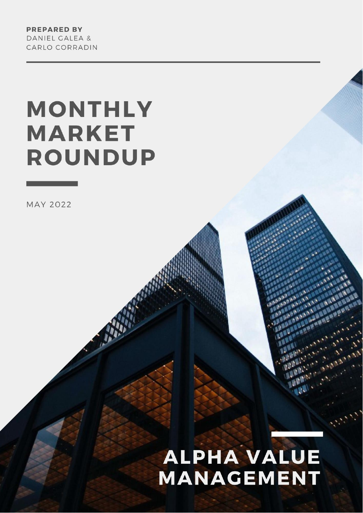**PREPARED BY** DANIEL GALEA & CARLO CORRADIN

# **MONTHLY MARKET ROUNDUP**

**MAY 2022** 

## **ALPHA VALUE MANAGEMENT**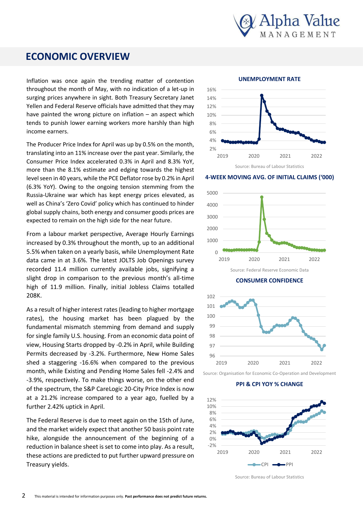

## **ECONOMIC OVERVIEW**

throughout the month of May, with no indication of a let-up in Inflation was once again the trending matter of contention surging prices anywhere in sight. Both Treasury Secretary Janet Yellen and Federal Reserve officials have admitted that they may have painted the wrong picture on inflation  $-$  an aspect which tends to punish lower earning workers more harshly than high income earners.

The Producer Price Index for April was up by 0.5% on the month, translating into an 11% increase over the past year. Similarly, the Consumer Price Index accelerated 0.3% in April and 8.3% YoY, more than the 8.1% estimate and edging towards the highest level seen in 40 years, while the PCE Deflator rose by 0.2% in April (6.3% YoY). Owing to the ongoing tension stemming from the Russia-Ukraine war which has kept energy prices elevated, as well as China's 'Zero Covid' policy which has continued to hinder global supply chains, both energy and consumer goods prices are expected to remain on the high side for the near future.

From a labour market perspective, Average Hourly Earnings increased by 0.3% throughout the month, up to an additional 5.5% when taken on a yearly basis, while Unemployment Rate data came in at 3.6%. The latest JOLTS Job Openings survey recorded 11.4 million currently available jobs, signifying a slight drop in comparison to the previous month's all-time high of 11.9 million. Finally, initial Jobless Claims totalled 208K.

As a result of higher interest rates (leading to higher mortgage rates), the housing market has been plagued by the fundamental mismatch stemming from demand and supply for single family U.S. housing. From an economic data point of view, Housing Starts dropped by -0.2% in April, while Building Permits decreased by -3.2%. Furthermore, New Home Sales shed a staggering -16.6% when compared to the previous month, while Existing and Pending Home Sales fell -2.4% and -3.9%, respectively. To make things worse, on the other end of the spectrum, the S&P CareLogic 20-City Price Index is now at a 21.2% increase compared to a year ago, fuelled by a further 2.42% uptick in April.

The Federal Reserve is due to meet again on the 15th of June, and the market widely expect that another 50 basis point rate hike, alongside the announcement of the beginning of a reduction in balance sheet is set to come into play. As a result, these actions are predicted to put further upward pressure on Treasury yields.



**4-WEEK MOVING AVG. OF INITIAL CLAIMS ('000)**





Source: Organisation for Economic Co-Operation and Development

**PPI & CPI YOY % CHANGE**



Source: Bureau of Labour Statistics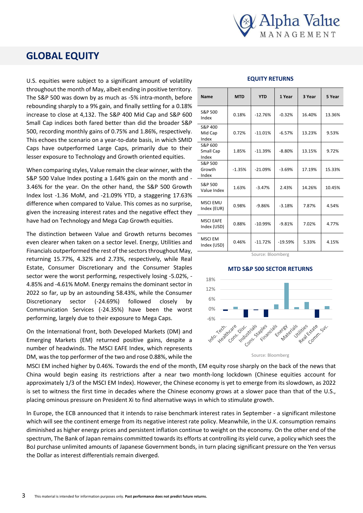

## **GLOBAL EQUITY**

U.S. equities were subject to a significant amount of volatility throughout the month of May, albeit ending in positive territory. The S&P 500 was down by as much as -5% intra-month, before rebounding sharply to a 9% gain, and finally settling for a 0.18% increase to close at 4,132. The S&P 400 Mid Cap and S&P 600 Small Cap indices both fared better than did the broader S&P 500, recording monthly gains of 0.75% and 1.86%, respectively. This echoes the scenario on a year-to-date basis, in which SMID Caps have outperformed Large Caps, primarily due to their lesser exposure to Technology and Growth oriented equities.

When comparing styles, Value remain the clear winner, with the S&P 500 Value Index posting a 1.64% gain on the month and - 3.46% for the year. On the other hand, the S&P 500 Growth Index lost -1.36 MoM, and -21.09% YTD, a staggering 17.63% difference when compared to Value. This comes as no surprise, given the increasing interest rates and the negative effect they have had on Technology and Mega Cap Growth equities.

The distinction between Value and Growth returns becomes even clearer when taken on a sector level. Energy, Utilities and Financials outperformed the rest of the sectors throughout May, returning 15.77%, 4.32% and 2.73%, respectively, while Real Estate, Consumer Discretionary and the Consumer Staples sector were the worst performing, respectively losing -5.02%, - 4.85% and -4.61% MoM. Energy remains the dominant sector in 2022 so far, up by an astounding 58.43%, while the Consumer Discretionary sector (-24.69%) followed closely by Communication Services (-24.35%) have been the worst performing, largely due to their exposure to Mega Caps.

On the International front, both Developed Markets (DM) and Emerging Markets (EM) returned positive gains, despite a number of headwinds. The MSCI EAFE Index, which represents DM, was the top performer of the two and rose 0.88%, while the

| <b>Name</b>                     | <b>MTD</b> | <b>YTD</b> | 1 Year    | 3 Year | 5 Year |
|---------------------------------|------------|------------|-----------|--------|--------|
| S&P 500<br>Index                | 0.18%      | $-12.76%$  | $-0.32%$  | 16.40% | 13.36% |
| S&P 400<br>Mid Cap<br>Index     | 0.72%      | $-11.01%$  | $-6.57%$  | 13.23% | 9.53%  |
| S&P 600<br>Small Cap<br>Index   | 1.85%      | $-11.39%$  | $-8.80%$  | 13.15% | 9.72%  |
| S&P 500<br>Growth<br>Index      | $-1.35%$   | $-21.09%$  | $-3.69%$  | 17.19% | 15.33% |
| S&P 500<br>Value Index          | 1.63%      | $-3.47%$   | 2.43%     | 14.26% | 10.45% |
| <b>MSCI EMU</b><br>Index (EUR)  | 0.98%      | $-9.86%$   | $-3.18%$  | 7.87%  | 4.54%  |
| <b>MSCI EAFE</b><br>Index (USD) | 0.88%      | $-10.99%$  | $-9.81%$  | 7.02%  | 4.77%  |
| <b>MSCI EM</b><br>Index (USD)   | 0.46%      | $-11.72%$  | $-19.59%$ | 5.33%  | 4.15%  |

#### **EQUITY RETURNS**

Source: Bloomberg

#### **MTD S&P 500 SECTOR RETURNS**



Source: Bloomberg

MSCI EM inched higher by 0.46%. Towards the end of the MSCI EM inched higher by 0.46%. Towards the end of the month, EM equity rose sharply on the back of the news that China would begin easing its restrictions after a near two month-long lockdown (Chinese equities account for approximately 1/3 of the MSCI EM Index). However, the Chinese economy is yet to emerge from its slowdown, as 2022 is set to witness the first time in decades where the Chinese economy grows at a slower pace than that of the U.S., placing ominous pressure on President Xi to find alternative ways in which to stimulate growth.

emerge from its slow down, as 2022 is set to white  $\alpha$ In Europe, the ECB announced that it intends to raise benchmark interest rates in September - a significant milestone which will see the continent emerge from its negative interest rate policy. Meanwhile, in the U.K. consumption remains diminished as higher energy prices and persistent inflation continue to weight on the economy. On the other end of the spectrum, The Bank of Japan remains committed towards its efforts at controlling its yield curve, a policy which sees the the Dollar as interest differentials remain diverged. BoJ purchase unlimited amounts of Japanese Government bonds, in turn placing significant pressure on the Yen versus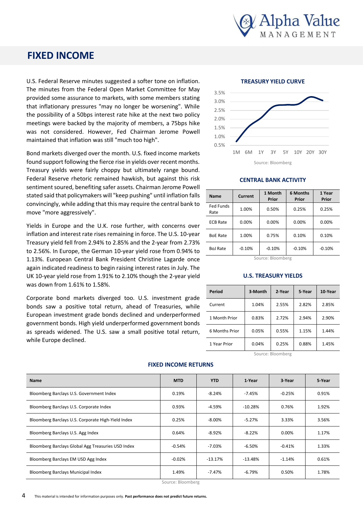

### **FIXED INCOME**

U.S. Federal Reserve minutes suggested a softer tone on inflation. The minutes from the Federal Open Market Committee for May provided some assurance to markets, with some members stating that inflationary pressures "may no longer be worsening". While the possibility of a 50bps interest rate hike at the next two policy meetings were backed by the majority of members, a 75bps hike was not considered. However, Fed Chairman Jerome Powell maintained that inflation was still "much too high".

Bond markets diverged over the month. U.S. fixed income markets found support following the fierce rise in yields over recent months. Treasury yields were fairly choppy but ultimately range bound. Federal Reserve rhetoric remained hawkish, but against this risk sentiment soured, benefiting safer assets. Chairman Jerome Powell stated said that policymakers will "keep pushing" until inflation falls convincingly, while adding that this may require the central bank to move "more aggressively".

Yields in Europe and the U.K. rose further, with concerns over inflation and interest rate rises remaining in force. The U.S. 10-year Treasury yield fell from 2.94% to 2.85% and the 2-year from 2.73% to 2.56%. In Europe, the German 10-year yield rose from 0.94% to 1.13%. European Central Bank President Christine Lagarde once again indicated readiness to begin raising interest rates in July. The UK 10-year yield rose from 1.91% to 2.10% though the 2-year yield was down from 1.61% to 1.58%.

Corporate bond markets diverged too. U.S. investment grade bonds saw a positive total return, ahead of Treasuries, while European investment grade bonds declined and underperformed government bonds. High yield underperformed government bonds as spreads widened. The U.S. saw a small positive total return, while Europe declined.

#### **TREASURY YIELD CURVE**



#### **CENTRAL BANK ACTIVITY**

| <b>Name</b>       | Current  | 1 Month<br>Prior | 6 Months<br>Prior | 1 Year<br>Prior |
|-------------------|----------|------------------|-------------------|-----------------|
| Fed Funds<br>Rate | 1.00%    | 0.50%            | 0.25%             | 0.25%           |
| <b>ECB Rate</b>   | 0.00%    | 0.00%            | 0.00%             | 0.00%           |
| <b>BoE Rate</b>   | 1.00%    | 0.75%            | 0.10%             | 0.10%           |
| <b>BoJ Rate</b>   | $-0.10%$ | $-0.10%$         | $-0.10%$          | $-0.10%$        |

Source: Bloomberg

#### **U.S. TREASURY YIELDS**

| Period         | 3-Month | 2-Year | 5-Year | 10-Year |
|----------------|---------|--------|--------|---------|
| Current        | 1.04%   | 2.55%  | 2.82%  | 2.85%   |
| 1 Month Prior  | 0.83%   | 2.72%  | 2.94%  | 2.90%   |
| 6 Months Prior | 0.05%   | 0.55%  | 1.15%  | 1.44%   |
| 1 Year Prior   | 0.04%   | 0.25%  | 0.88%  | 1.45%   |

Source: Bloomberg

| Name                                               | <b>MTD</b> | <b>YTD</b> | 1-Year    | 3-Year   | 5 Year |
|----------------------------------------------------|------------|------------|-----------|----------|--------|
| Bloomberg Barclays U.S. Government Index           | 0.19%      | $-8.24%$   | -7.45%    | $-0.25%$ | 0.91%  |
| Bloomberg Barclays U.S. Corporate Index            | 0.93%      | -4.59%     | $-10.28%$ | 0.76%    | 1.92%  |
| Bloomberg Barclays U.S. Corporate High-Yield Index | 0.25%      | -8.00%     | $-5.27%$  | 3.33%    | 3.56%  |
| Bloomberg Barclays U.S. Agg Index                  | 0.64%      | $-8.92%$   | $-8.22%$  | 0.00%    | 1.17%  |
| Bloomberg Barclays Global Agg Treasuries USD Index | $-0.54%$   | -7.03%     | $-6.50%$  | $-0.41%$ | 1.33%  |
| Bloomberg Barclays EM USD Agg Index                | $-0.02%$   | $-13.17%$  | $-13.48%$ | $-1.14%$ | 0.61%  |
| <b>Bloomberg Barclays Municipal Index</b>          | 1.49%      | $-7.47%$   | -6.79%    | 0.50%    | 1.78%  |

#### **FIXED INCOME RETURNS**

Source: Bloomberg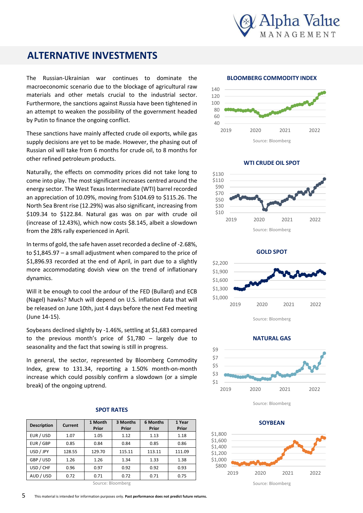

## **ALTERNATIVE INVESTMENTS**

The Russian-Ukrainian war continues to dominate the macroeconomic scenario due to the blockage of agricultural raw materials and other metals crucial to the industrial sector. Furthermore, the sanctions against Russia have been tightened in an attempt to weaken the possibility of the government headed by Putin to finance the ongoing conflict.

These sanctions have mainly affected crude oil exports, while gas supply decisions are yet to be made. However, the phasing out of Russian oil will take from 6 months for crude oil, to 8 months for other refined petroleum products.

Naturally, the effects on commodity prices did not take long to come into play. The most significant increases centred around the energy sector. The West Texas Intermediate (WTI) barrel recorded an appreciation of 10.09%, moving from \$104.69 to \$115.26. The North Sea Brent rise (12.29%) was also significant, increasing from \$109.34 to \$122.84. Natural gas was on par with crude oil (increase of 12.43%), which now costs \$8.145, albeit a slowdown from the 28% rally experienced in April.

In terms of gold, the safe haven asset recorded a decline of -2.68%, to \$1,845.97 – a small adjustment when compared to the price of \$1,896.93 recorded at the end of April, in part due to a slightly more accommodating dovish view on the trend of inflationary dynamics.

Will it be enough to cool the ardour of the FED (Bullard) and ECB (Nagel) hawks? Much will depend on U.S. inflation data that will be released on June 10th, just 4 days before the next Fed meeting (June 14-15).

Soybeans declined slightly by -1.46%, settling at \$1,683 compared to the previous month's price of \$1,780 – largely due to seasonality and the fact that sowing is still in progress.

In general, the sector, represented by Bloomberg Commodity Index, grew to 131.34, reporting a 1.50% month-on-month increase which could possibly confirm a slowdown (or a simple break) of the ongoing uptrend.

#### **SPOT RATES**

| <b>Description</b> | Current | 1 Month<br>Prior | 3 Months<br>Prior | 6 Months<br>Prior | 1 Year<br>Prior |
|--------------------|---------|------------------|-------------------|-------------------|-----------------|
| EUR / USD          | 1.07    | 1.05             | 1.12              | 1.13              | 1.18            |
| EUR / GBP          | 0.85    | 0.84             | 0.84              | 0.85              | 0.86            |
| USD / JPY          | 128.55  | 129.70           | 115.11            | 113.11            | 111.09          |
| GBP / USD          | 1.26    | 1.26             | 1.34              | 1.33              | 1.38            |
| USD / CHF          | 0.96    | 0.97             | 0.92              | 0.92              | 0.93            |
| AUD / USD          | 0.72    | 0.71             | 0.72              | 0.71              | 0.75            |

Source: Bloomberg

#### **BLOOMBERG COMMODITY INDEX**



**WTI CRUDE OIL SPOT**



 \$1,000 \$1,300 \$1,600 \$1,900 \$2,200 2019 2020 2021 2022 **GOLD SPOT**

Source: Bloomberg



Source: Bloomberg

Source: Bloomberg \$800 \$1,000 \$1,200 \$1,400 \$1,600 \$1,800 2019 2020 2021 2022 **SOYBEAN**